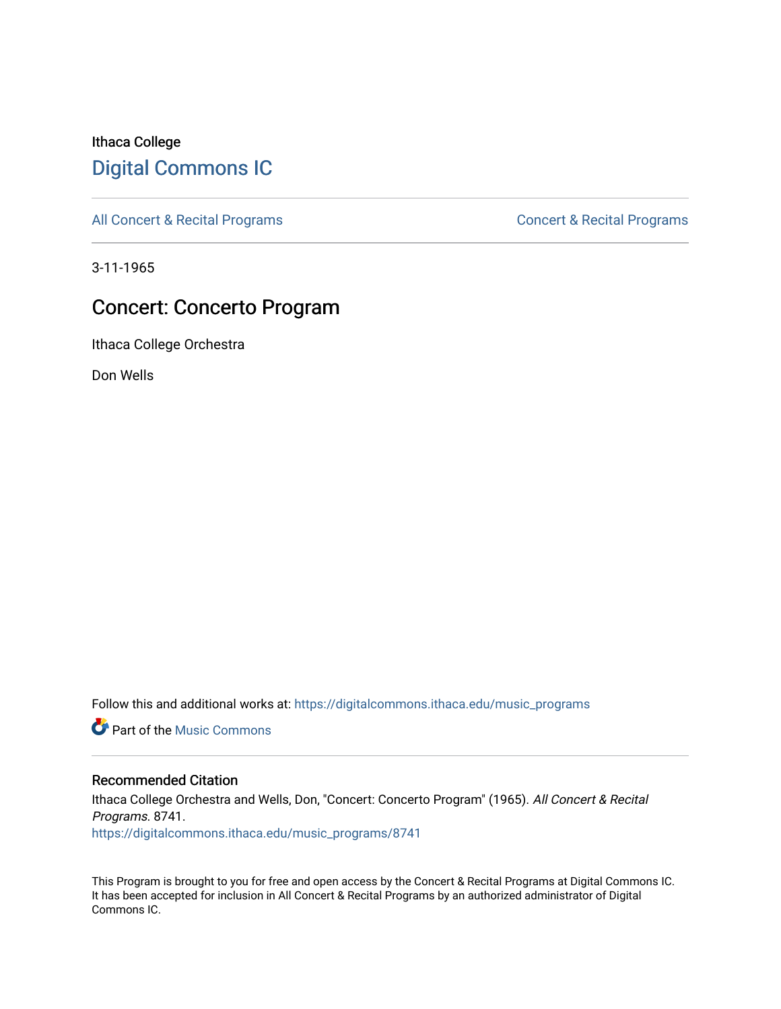# Ithaca College [Digital Commons IC](https://digitalcommons.ithaca.edu/)

[All Concert & Recital Programs](https://digitalcommons.ithaca.edu/music_programs) **Concert & Recital Programs** Concert & Recital Programs

3-11-1965

# Concert: Concerto Program

Ithaca College Orchestra

Don Wells

Follow this and additional works at: [https://digitalcommons.ithaca.edu/music\\_programs](https://digitalcommons.ithaca.edu/music_programs?utm_source=digitalcommons.ithaca.edu%2Fmusic_programs%2F8741&utm_medium=PDF&utm_campaign=PDFCoverPages) 

**Part of the Music Commons** 

## Recommended Citation

Ithaca College Orchestra and Wells, Don, "Concert: Concerto Program" (1965). All Concert & Recital Programs. 8741. [https://digitalcommons.ithaca.edu/music\\_programs/8741](https://digitalcommons.ithaca.edu/music_programs/8741?utm_source=digitalcommons.ithaca.edu%2Fmusic_programs%2F8741&utm_medium=PDF&utm_campaign=PDFCoverPages) 

This Program is brought to you for free and open access by the Concert & Recital Programs at Digital Commons IC. It has been accepted for inclusion in All Concert & Recital Programs by an authorized administrator of Digital Commons IC.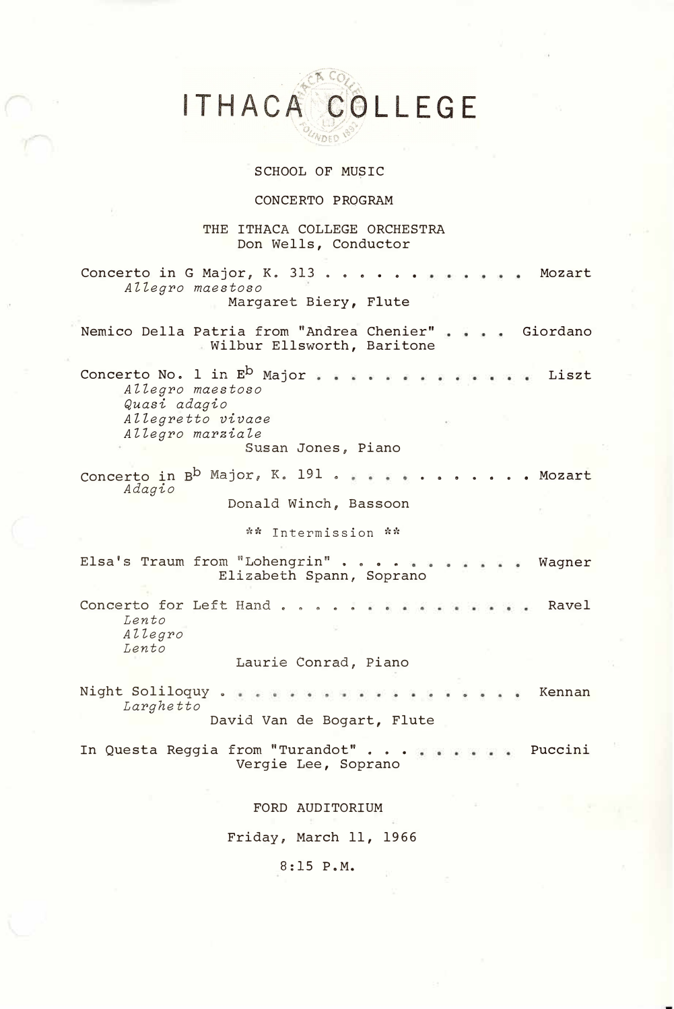ITHACA COLLEGE

#### SCHOOL OF MU\$IC

### CONCERTO PROGRAM

### THE ITHACA COLLEGE ORCHESTRA Don Wells, Conductor

Concerto in G Major, K. 313 . . . . . . . . . . . Mozart *AZZegro maestoso*  Margaret Biery, Flute Nemico Della Patria from "Andrea Chenier" Giordano Wilbur Ellsworth, Baritone Concerto No. 1 in E<sup>D</sup> Major  $\begin{array}{cccccccccc} \bullet & \bullet & \bullet & \bullet & \bullet & \bullet \end{array}$ Liszt *AZZegro maestoso Quasi adagio Allegretto vivace AZZegro marziaZe*  Susan Jones, Piano Concerto in B<sup>D</sup> Major, K. 191 . . . . . . . . . . . Mozart *Adagio*  Donald Winch, Bassoon \*\* Intermission \*\* Elsa's Traum from "Lohengrin" . . . . ... Wagner Elizabeth Spann, Soprano Concerto for Left Hand . . . Ravel . . . . . . . . . *Lento AZZegro Lento*  Laurie Conrad, Piano Night Soliloquy . Kennan *Larghetto*  David Van de Bogart, Flute In Questa Reggia from "Turandot" ... Puccini Vergie Lee, Soprano FORD AUDITORIUM Friday, March 11, 1966

8:15 P.M.